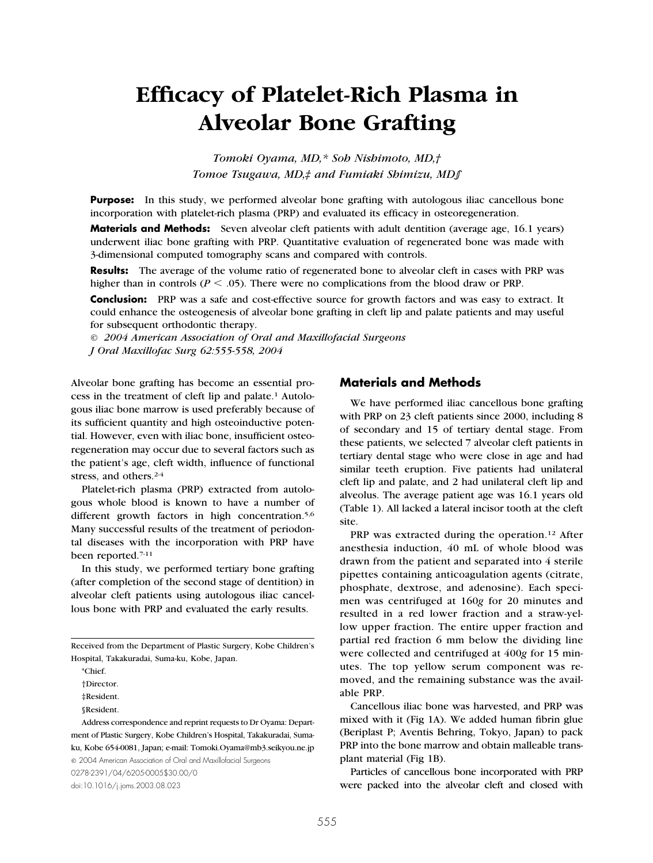# **Efficacy of Platelet-Rich Plasma in Alveolar Bone Grafting**

*Tomoki Oyama, MD,\* Soh Nishimoto, MD,† Tomoe Tsugawa, MD,‡ and Fumiaki Shimizu, MD§*

**Purpose:** In this study, we performed alveolar bone grafting with autologous iliac cancellous bone incorporation with platelet-rich plasma (PRP) and evaluated its efficacy in osteoregeneration.

**Materials and Methods:** Seven alveolar cleft patients with adult dentition (average age, 16.1 years) underwent iliac bone grafting with PRP. Quantitative evaluation of regenerated bone was made with 3-dimensional computed tomography scans and compared with controls.

**Results:** The average of the volume ratio of regenerated bone to alveolar cleft in cases with PRP was higher than in controls ( $P \le 0.05$ ). There were no complications from the blood draw or PRP.

**Conclusion:** PRP was a safe and cost-effective source for growth factors and was easy to extract. It could enhance the osteogenesis of alveolar bone grafting in cleft lip and palate patients and may useful for subsequent orthodontic therapy.

*© 2004 American Association of Oral and Maxillofacial Surgeons J Oral Maxillofac Surg 62:555-558, 2004*

Alveolar bone grafting has become an essential process in the treatment of cleft lip and palate.<sup>1</sup> Autologous iliac bone marrow is used preferably because of its sufficient quantity and high osteoinductive potential. However, even with iliac bone, insufficient osteoregeneration may occur due to several factors such as the patient's age, cleft width, influence of functional stress, and others.2-4

Platelet-rich plasma (PRP) extracted from autologous whole blood is known to have a number of different growth factors in high concentration.<sup>5,6</sup> Many successful results of the treatment of periodontal diseases with the incorporation with PRP have been reported.7-11

In this study, we performed tertiary bone grafting (after completion of the second stage of dentition) in alveolar cleft patients using autologous iliac cancellous bone with PRP and evaluated the early results.

Received from the Department of Plastic Surgery, Kobe Children's Hospital, Takakuradai, Suma-ku, Kobe, Japan.

\*Chief.

†Director.

‡Resident.

© 2004 American Association of Oral and Maxillofacial Surgeons 0278-2391/04/6205-0005\$30.00/0

doi:10.1016/j.joms.2003.08.023

## **Materials and Methods**

We have performed iliac cancellous bone grafting with PRP on 23 cleft patients since 2000, including 8 of secondary and 15 of tertiary dental stage. From these patients, we selected 7 alveolar cleft patients in tertiary dental stage who were close in age and had similar teeth eruption. Five patients had unilateral cleft lip and palate, and 2 had unilateral cleft lip and alveolus. The average patient age was 16.1 years old (Table 1). All lacked a lateral incisor tooth at the cleft site.

PRP was extracted during the operation.<sup>12</sup> After anesthesia induction, 40 mL of whole blood was drawn from the patient and separated into 4 sterile pipettes containing anticoagulation agents (citrate, phosphate, dextrose, and adenosine). Each specimen was centrifuged at 160*g* for 20 minutes and resulted in a red lower fraction and a straw-yellow upper fraction. The entire upper fraction and partial red fraction 6 mm below the dividing line were collected and centrifuged at 400*g* for 15 minutes. The top yellow serum component was removed, and the remaining substance was the available PRP.

Cancellous iliac bone was harvested, and PRP was mixed with it (Fig 1A). We added human fibrin glue (Beriplast P; Aventis Behring, Tokyo, Japan) to pack PRP into the bone marrow and obtain malleable transplant material (Fig 1B).

Particles of cancellous bone incorporated with PRP were packed into the alveolar cleft and closed with

<sup>§</sup>Resident.

Address correspondence and reprint requests to Dr Oyama: Department of Plastic Surgery, Kobe Children's Hospital, Takakuradai, Sumaku, Kobe 654-0081, Japan; e-mail: Tomoki.Oyama@mb3.seikyou.ne.jp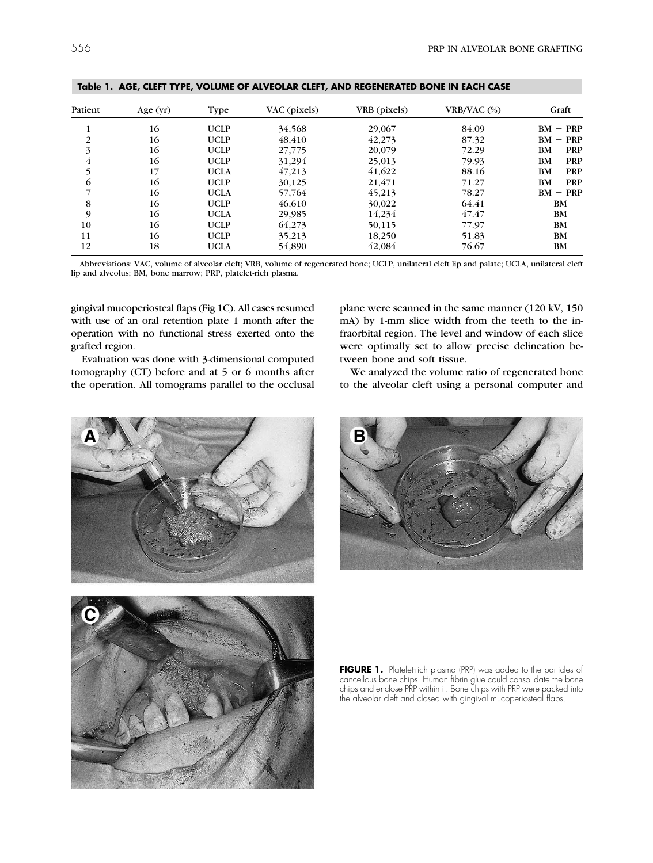| Patient        | Age $(yr)$ | Type        | VAC (pixels) | VRB (pixels) | $VRB/VAC$ $(\%)$ | Graft      |
|----------------|------------|-------------|--------------|--------------|------------------|------------|
|                | 16         | <b>UCLP</b> | 34,568       | 29,067       | 84.09            | $BM + PRP$ |
| 2              | 16         | <b>UCLP</b> | 48.410       | 42.273       | 87.32            | $BM + PRP$ |
| 3              | 16         | <b>UCLP</b> | 27,775       | 20,079       | 72.29            | $BM + PRP$ |
| $\overline{4}$ | 16         | <b>UCLP</b> | 31,294       | 25,013       | 79.93            | $BM + PRP$ |
| 5              | 17         | <b>UCLA</b> | 47,213       | 41,622       | 88.16            | $BM + PRP$ |
| 6              | 16         | <b>UCLP</b> | 30,125       | 21,471       | 71.27            | $BM + PRP$ |
|                | 16         | <b>UCLA</b> | 57,764       | 45,213       | 78.27            | $BM + PRP$ |
| 8              | 16         | <b>UCLP</b> | 46,610       | 30,022       | 64.41            | BM         |
| 9              | 16         | <b>UCLA</b> | 29,985       | 14,234       | 47.47            | <b>BM</b>  |
| 10             | 16         | <b>UCLP</b> | 64,273       | 50,115       | 77.97            | <b>BM</b>  |
| 11             | 16         | <b>UCLP</b> | 35,213       | 18,250       | 51.83            | <b>BM</b>  |
| 12             | 18         | <b>UCLA</b> | 54,890       | 42.084       | 76.67            | <b>BM</b>  |

**Table 1. AGE, CLEFT TYPE, VOLUME OF ALVEOLAR CLEFT, AND REGENERATED BONE IN EACH CASE**

Abbreviations: VAC, volume of alveolar cleft; VRB, volume of regenerated bone; UCLP, unilateral cleft lip and palate; UCLA, unilateral cleft lip and alveolus; BM, bone marrow; PRP, platelet-rich plasma.

gingival mucoperiosteal flaps (Fig 1C). All cases resumed with use of an oral retention plate 1 month after the operation with no functional stress exerted onto the grafted region.

Evaluation was done with 3-dimensional computed tomography (CT) before and at 5 or 6 months after the operation. All tomograms parallel to the occlusal

plane were scanned in the same manner (120 kV, 150 mA) by 1-mm slice width from the teeth to the infraorbital region. The level and window of each slice were optimally set to allow precise delineation between bone and soft tissue.

We analyzed the volume ratio of regenerated bone to the alveolar cleft using a personal computer and







FIGURE 1. Platelet-rich plasma (PRP) was added to the particles of cancellous bone chips. Human fibrin glue could consolidate the bone chips and enclose PRP within it. Bone chips with PRP were packed into the alveolar cleft and closed with gingival mucoperiosteal flaps.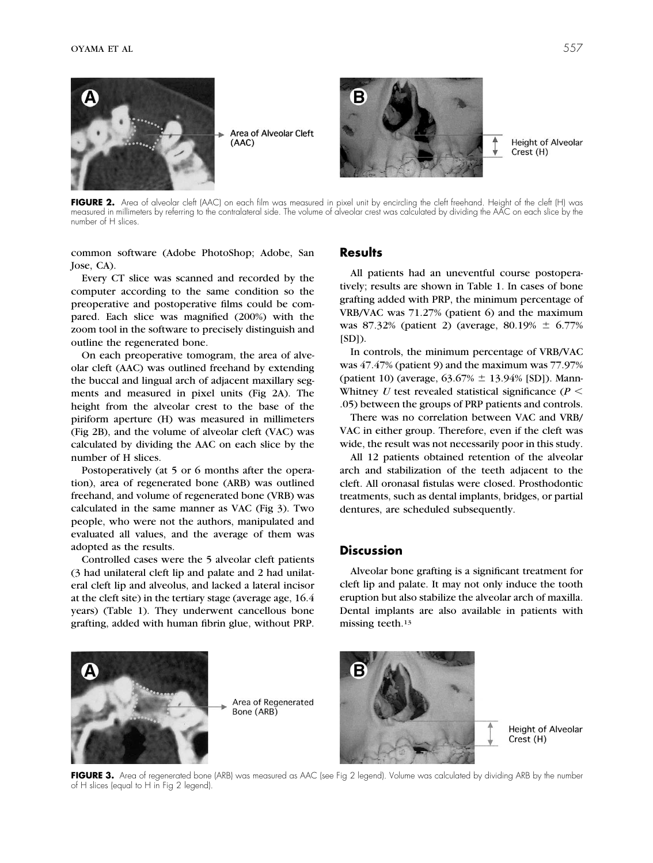

Area of Alveolar Cleft  $(AAC)$ 



**Height of Alveolar** Crest (H)

FIGURE 2. Area of alveolar cleft (AAC) on each film was measured in pixel unit by encircling the cleft freehand. Height of the cleft (H) was measured in millimeters by referring to the contralateral side. The volume of alveolar crest was calculated by dividing the AAC on each slice by the number of H slices.

common software (Adobe PhotoShop; Adobe, San Jose, CA).

Every CT slice was scanned and recorded by the computer according to the same condition so the preoperative and postoperative films could be compared. Each slice was magnified (200%) with the zoom tool in the software to precisely distinguish and outline the regenerated bone.

On each preoperative tomogram, the area of alveolar cleft (AAC) was outlined freehand by extending the buccal and lingual arch of adjacent maxillary segments and measured in pixel units (Fig 2A). The height from the alveolar crest to the base of the piriform aperture (H) was measured in millimeters (Fig 2B), and the volume of alveolar cleft (VAC) was calculated by dividing the AAC on each slice by the number of H slices.

Postoperatively (at 5 or 6 months after the operation), area of regenerated bone (ARB) was outlined freehand, and volume of regenerated bone (VRB) was calculated in the same manner as VAC (Fig 3). Two people, who were not the authors, manipulated and evaluated all values, and the average of them was adopted as the results.

Controlled cases were the 5 alveolar cleft patients (3 had unilateral cleft lip and palate and 2 had unilateral cleft lip and alveolus, and lacked a lateral incisor at the cleft site) in the tertiary stage (average age, 16.4 years) (Table 1). They underwent cancellous bone grafting, added with human fibrin glue, without PRP.

#### **Results**

All patients had an uneventful course postoperatively; results are shown in Table 1. In cases of bone grafting added with PRP, the minimum percentage of VRB/VAC was 71.27% (patient 6) and the maximum was 87.32% (patient 2) (average, 80.19%  $\pm$  6.77%  $[SD]$ ).

In controls, the minimum percentage of VRB/VAC was 47.47% (patient 9) and the maximum was 77.97% (patient 10) (average,  $63.67\% \pm 13.94\%$  [SD]). Mann-Whitney *U* test revealed statistical significance ( $P$  < .05) between the groups of PRP patients and controls.

There was no correlation between VAC and VRB/ VAC in either group. Therefore, even if the cleft was wide, the result was not necessarily poor in this study.

All 12 patients obtained retention of the alveolar arch and stabilization of the teeth adjacent to the cleft. All oronasal fistulas were closed. Prosthodontic treatments, such as dental implants, bridges, or partial dentures, are scheduled subsequently.

### **Discussion**

Alveolar bone grafting is a significant treatment for cleft lip and palate. It may not only induce the tooth eruption but also stabilize the alveolar arch of maxilla. Dental implants are also available in patients with missing teeth.13



Area of Regenerated Bone (ARB)



**Height of Alveolar** Crest (H)

FIGURE 3. Area of regenerated bone (ARB) was measured as AAC (see Fig 2 legend). Volume was calculated by dividing ARB by the number of H slices (equal to H in Fig 2 legend).